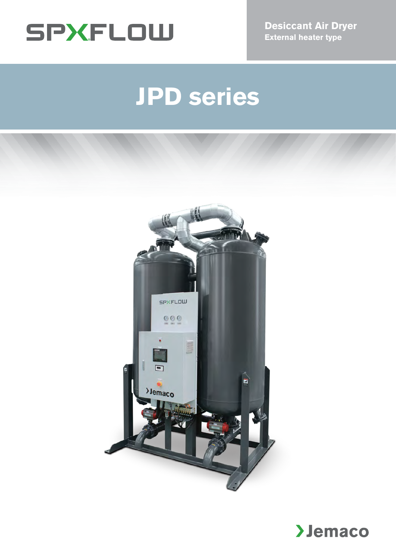

**Desiccant Air Dryer External heater type**

# **JPD series**



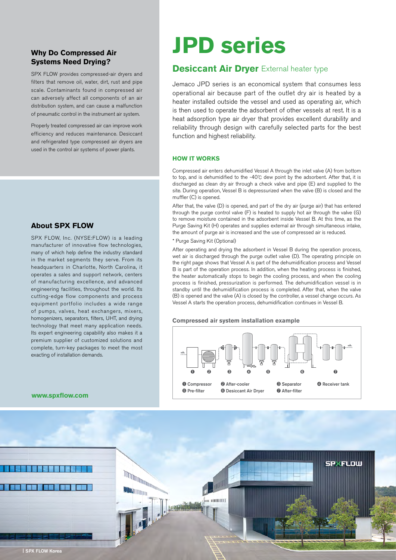#### **Why Do Compressed Air Systems Need Drying?**

SPX FLOW provides compressed-air dryers and filters that remove oil, water, dirt, rust and pipe scale. Contaminants found in compressed air can adversely affect all components of an air distribution system, and can cause a malfunction of pneumatic control in the instrument air system.

Properly treated compressed air can improve work efficiency and reduces maintenance. Desiccant and refrigerated type compressed air dryers are used in the control air systems of power plants.

#### **About SPX FLOW**

SPX FLOW, Inc. (NYSE:FLOW) is a leading manufacturer of innovative flow technologies, many of which help define the industry standard in the market segments they serve. From its headquarters in Charlotte, North Carolina, it operates a sales and support network, centers of manufacturing excellence, and advanced engineering facilities, throughout the world. Its cutting-edge flow components and process equipment portfolio includes a wide range of pumps, valves, heat exchangers, mixers, homogenizers, separators, filters, UHT, and drying technology that meet many application needs. Its expert engineering capability also makes it a premium supplier of customized solutions and complete, turn-key packages to meet the most exacting of installation demands.

## **JPD series**

#### **Desiccant Air Dryer** External heater type

Jemaco JPD series is an economical system that consumes less operational air because part of the outlet dry air is heated by a heater installed outside the vessel and used as operating air, which is then used to operate the adsorbent of other vessels at rest. It is a heat adsorption type air dryer that provides excellent durability and reliability through design with carefully selected parts for the best function and highest reliability.

#### **HOW IT WORKS**

Compressed air enters dehumidified Vessel A through the inlet valve (A) from bottom to top, and is dehumidified to the -40℃ dew point by the adsorbent. After that, it is discharged as clean dry air through a check valve and pipe (E) and supplied to the site. During operation, Vessel B is depressurized when the valve (B) is closed and the muffler (C) is opened.

After that, the valve (D) is opened, and part of the dry air (purge air) that has entered through the purge control valve (F) is heated to supply hot air through the valve (G) to remove moisture contained in the adsorbent inside Vessel B. At this time, as the Purge Saving Kit (H) operates and supplies external air through simultaneous intake, the amount of purge air is increased and the use of compressed air is reduced.

#### \* Purge Saving Kit (Optional)

After operating and drying the adsorbent in Vessel B during the operation process, wet air is discharged through the purge outlet valve (D). The operating principle on the right page shows that Vessel A is part of the dehumidification process and Vessel B is part of the operation process. In addition, when the heating process is finished, the heater automatically stops to begin the cooling process, and when the cooling process is finished, pressurization is performed. The dehumidification vessel is in standby until the dehumidification process is completed. After that, when the valve (B) is opened and the valve (A) is closed by the controller, a vessel change occurs. As Vessel A starts the operation process, dehumidification continues in Vessel B.

#### **Compressed air system installation example**



#### **www.spxflow.com**

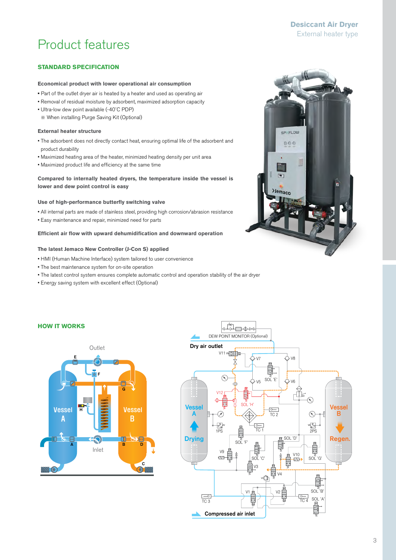#### **Desiccant Air Dryer**  External heater type

## Product features

#### **STANDARD SPECIFICATION**

#### **Economical product with lower operational air consumption**

- Part of the outlet dryer air is heated by a heater and used as operating air
- Removal of residual moisture by adsorbent, maximized adsorption capacity
- Ultra-low dew point available (-40˚C PDP)
	- ※ When installing Purge Saving Kit (Optional)

#### **External heater structure**

- The adsorbent does not directly contact heat, ensuring optimal life of the adsorbent and product durability
- Maximized heating area of the heater, minimized heating density per unit area
- Maximized product life and efficiency at the same time

#### **Compared to internally heated dryers, the temperature inside the vessel is lower and dew point control is easy**

#### **Use of high-performance butterfly switching valve**

- All internal parts are made of stainless steel, providing high corrosion/abrasion resistance
- Easy maintenance and repair, minimized need for parts

#### **Efficient air flow with upward dehumidification and downward operation**

#### **The latest Jemaco New Controller (J-Con S) applied**

- HMI (Human Machine Interface) system tailored to user convenience
- The best maintenance system for on-site operation
- The latest control system ensures complete automatic control and operation stability of the air dryer
- Energy saving system with excellent effect (Optional)

# **SPXFLOW**  $000$  $\blacksquare$ **>Jemaco**

#### **HOW IT WORKS**



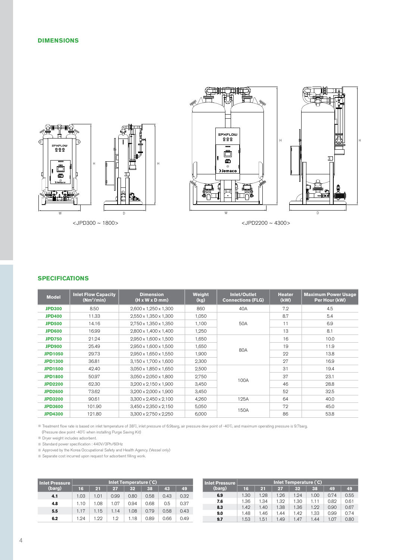



#### **SPECIFICATIONS**

| <b>Model</b>   | <b>Inlet Flow Capacity</b><br>$(Nm^3/min)$ | <b>Dimension</b><br>$(H \times W \times D \text{ mm})$ | <b>Weight</b><br>(kg) | Inlet/Outlet<br><b>Connections (FLG)</b> | <b>Heater</b><br>(kW) | <b>Maximum Power Usage</b><br>Per Hour (kW) |
|----------------|--------------------------------------------|--------------------------------------------------------|-----------------------|------------------------------------------|-----------------------|---------------------------------------------|
| <b>JPD300</b>  | 8.50                                       | 2,600 x 1,250 x 1,300                                  | 860                   | 40A                                      | 7.2                   | 4.5                                         |
| <b>JPD400</b>  | 11.33                                      | $2.550 \times 1.350 \times 1.300$                      | 1,050                 |                                          | 8.7                   | 5.4                                         |
| <b>JPD500</b>  | 14.16                                      | 2,750 x 1,350 x 1,350                                  | 1,100                 | 50A                                      | 11                    | 6.9                                         |
| <b>JPD600</b>  | 16.99                                      | $2.800 \times 1.400 \times 1.400$                      | 1,250                 |                                          | 13                    | 8.1                                         |
| <b>JPD750</b>  | 21.24                                      | $2.950 \times 1.600 \times 1.500$                      | 1,650                 |                                          | 16                    | 10.0                                        |
| <b>JPD900</b>  | 25.49                                      | 2,950 x 1,600 x 1,500                                  | 1,650                 | 80A                                      | 19                    | 11.9                                        |
| <b>JPD1050</b> | 29.73                                      | 2,950 x 1,650 x 1,550                                  | 1.900                 |                                          | 22                    | 13.8                                        |
| <b>JPD1300</b> | 36.81                                      | $3,150 \times 1,700 \times 1,600$                      | 2,300                 |                                          | 27                    | 16.9                                        |
| <b>JPD1500</b> | 42.40                                      | $3.050 \times 1.850 \times 1.650$                      | 2,500                 |                                          | 31                    | 19.4                                        |
| <b>JPD1800</b> | 50.97                                      | 3,050 x 2,050 x 1,800                                  | 2,750                 |                                          | 37                    | 23.1                                        |
| <b>JPD2200</b> | 62.30                                      | $3,200 \times 2,150 \times 1,900$                      | 3,450                 | 100A                                     | 46                    | 28.8                                        |
| <b>JPD2600</b> | 73.62                                      | $3,200 \times 2,000 \times 1,900$                      | 3.450                 |                                          | 52                    | 32.5                                        |
| <b>JPD3200</b> | 90.61                                      | $3,300 \times 2,450 \times 2,100$                      | 4,260                 | 125A                                     | 64                    | 40.0                                        |
| <b>JPD3600</b> | 101.90                                     | $3,450 \times 2,350 \times 2,150$                      | 5,050                 |                                          | 72                    | 45.0                                        |
| <b>JPD4300</b> | 121.80                                     | $3.300 \times 2.750 \times 2.250$                      | 6,000                 | 150A                                     | 86                    | 53.8                                        |

※ Treatment flow rate is based on inlet temperature of 38℃, inlet pressure of 6.9barg, air pressure dew point of -40℃, and maximum operating pressure is 9.7barg. (Pressure dew point -40℃ when installing Purge Saving Kit)

※ Dryer weight includes adsorbent.

※ Standard power specification : 440V/3Ph/60Hz

※ Approved by the Korea Occupational Safety and Health Agency. (Vessel only)

※ Separate cost incurred upon request for adsorbent filling work.

| <b>Inlet Pressure</b> | Inlet Temperature (°C) |      |      |      |      |      |      |  |
|-----------------------|------------------------|------|------|------|------|------|------|--|
| (barg)                | 16                     | 21   | 27   | 32   | 38   | 43   | 49   |  |
| 4.1                   | 1.03                   | 1.01 | 0.99 | 0.80 | 0.58 | 0.43 | 0.32 |  |
| 4.8                   | 1.10                   | 1.08 | 1.07 | 0.94 | 0.68 | 0.5  | 0.37 |  |
| 5.5                   | 1.17                   | 1.15 | 1.14 | 1.08 | 0.79 | 0.58 | 0.43 |  |
| 6.2                   | 1.94                   | 1.99 | 1.2  | 1.18 | 0.89 | 0.66 | 0.49 |  |

| <b>Inlet Pressure</b> | Inlet Temperature (°C) |      |      |      |      |      |      |  |
|-----------------------|------------------------|------|------|------|------|------|------|--|
| (barg)                | 16                     | 21   | 27   | 32   | 38   | 49   | 49   |  |
| 6.9                   | 1.30                   | 1.28 | 1.26 | 1.94 | 1.00 | 0.74 | 0.55 |  |
| 7.6                   | 1.36                   | 1.34 | 1.32 | 1.30 | 1.11 | 0.82 | 0.61 |  |
| 8.3                   | 1.42                   | 1.40 | 1.38 | 1.36 | 1.99 | 0.90 | 0.67 |  |
| 9.0                   | 1.48                   | 1.46 | 1.44 | 1.42 | 1.33 | 0.99 | 0.74 |  |
| 9.7                   | 1.53                   | 1.51 | 1.49 | 1.47 | 1.44 | 1.07 | 0.80 |  |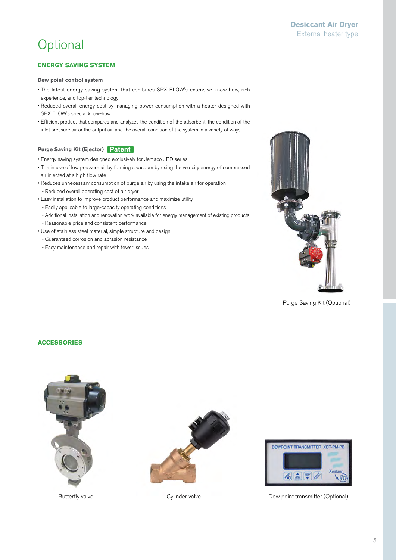## **Optional**

#### **ENERGY SAVING SYSTEM**

#### **Dew point control system**

- The latest energy saving system that combines SPX FLOW's extensive know-how, rich experience, and top-tier technology
- Reduced overall energy cost by managing power consumption with a heater designed with SPX FLOW's special know-how
- Efficient product that compares and analyzes the condition of the adsorbent, the condition of the inlet pressure air or the output air, and the overall condition of the system in a variety of ways

#### **Purge Saving Kit (Ejector) Patent**

- Energy saving system designed exclusively for Jemaco JPD series
- The intake of low pressure air by forming a vacuum by using the velocity energy of compressed air injected at a high flow rate
- Reduces unnecessary consumption of purge air by using the intake air for operation
	- Reduced overall operating cost of air dryer
- Easy installation to improve product performance and maximize utility
	- Easily applicable to large-capacity operating conditions
	- Additional installation and renovation work available for energy management of existing products - Reasonable price and consistent performance
- Use of stainless steel material, simple structure and design
- Guaranteed corrosion and abrasion resistance
- Easy maintenance and repair with fewer issues



Purge Saving Kit (Optional)

#### **ACCESSORIES**







Butterfly valve **Cylinder valve** Cylinder valve **Dew point transmitter (Optional)**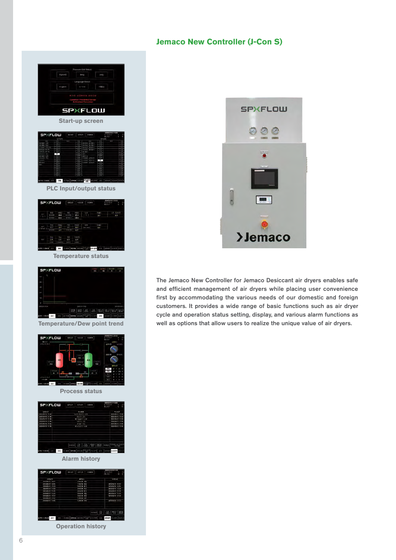#### **Jemaco New Controller (J-Con S)**

| Keitin2<br>paig<br>thing.<br>nyungi: Seincl<br>中国社<br>한 복이다.<br>FAN 조사금제<br><b>SPXFLOW</b><br><b>Start-up screen</b><br>SP)(FLOW<br>suse   <br>enun<br>azezni                                                                                                                                                                                                                                    |
|--------------------------------------------------------------------------------------------------------------------------------------------------------------------------------------------------------------------------------------------------------------------------------------------------------------------------------------------------------------------------------------------------|
| air. au crite sont com a de l'acces<br><b>PLC Input/output status</b>                                                                                                                                                                                                                                                                                                                            |
| <b>SPXFLOW</b><br>pezo kaza vene<br>$rac{1}{2}$<br>$\frac{142}{14}$<br>be <b>da</b> hasa sens son """ aver er sons anno sen<br><b>Temperature status</b>                                                                                                                                                                                                                                         |
| <b>SPXFLOW</b><br>$18$ and $25$<br>$[ 338 \, [ 363 \, [ 46], [ 46], [ 354] \, [ 354] \, [ 964] \, [ 464]$<br><b>18 18 19   Linda Care   1979   1979   1980   1981   1981</b><br><b>Temperature/Dew point trend</b>                                                                                                                                                                               |
| 5PXFLOW<br>weze wase<br><b>CORN</b><br>4395<br><b>Seat office and all of</b><br>and an<br><b>Process status</b>                                                                                                                                                                                                                                                                                  |
| <b>SPXFLOW</b><br><b>Long</b><br>1000<br>Mase<br><b>CSRN</b><br>------<br>1972年 19<br>m<br>$7 - 0$<br>up.<br>$rac{1}{100}$<br>e aalo oa<br>Verskied<br>s/rs<br>ma<br>b<br>m<br>z.<br>77<br>here at an and age and an inner<br>east<br><b>ED</b> does   sees   anno   2<br>James<br>same<br>$\frac{1}{2} \frac{1}{2}$<br>Alarm history                                                            |
| <b>SPXFLOW</b><br><b>All UN</b><br><b>Cones</b><br>1.9924<br>ŝ<br>相応性<br>a etc.<br>m<br>1118.42<br>2719.42<br>son irm<br>Stat 1979<br>sira ma<br><b>TOR FEB</b><br>608<br>×<br>Ñ<br>MAYN 13-33<br>1419-22<br>5419-412<br>5419-47<br>٠<br>ans<br>19.00<br>Laura<br>v.<br>anael 30   552   522   533<br>ak   dina   odna iz m Daranjshin<br>15000 20<br>$\Rightarrow$<br><b>FRIDE</b><br>it al pro |

**Operation history**



The Jemaco New Controller for Jemaco Desiccant air dryers enables safe and efficient management of air dryers while placing user convenience first by accommodating the various needs of our domestic and foreign customers. It provides a wide range of basic functions such as air dryer cycle and operation status setting, display, and various alarm functions as well as options that allow users to realize the unique value of air dryers.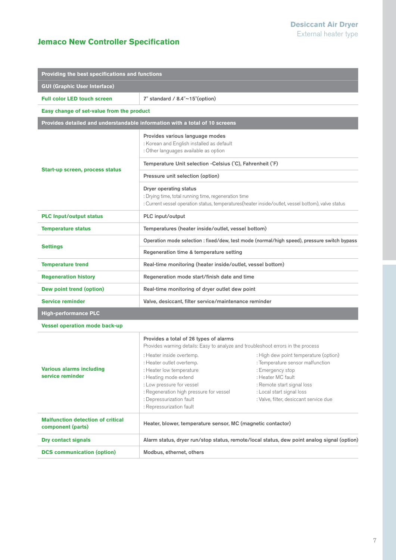#### **Jemaco New Controller Specification**

| Providing the best specifications and functions                                                                          |                                                                                                                                                                                                                                             |                                                                                                                                                                                                                         |  |  |  |  |
|--------------------------------------------------------------------------------------------------------------------------|---------------------------------------------------------------------------------------------------------------------------------------------------------------------------------------------------------------------------------------------|-------------------------------------------------------------------------------------------------------------------------------------------------------------------------------------------------------------------------|--|--|--|--|
| <b>GUI (Graphic User Interface)</b>                                                                                      |                                                                                                                                                                                                                                             |                                                                                                                                                                                                                         |  |  |  |  |
| <b>Full color LED touch screen</b><br>7" standard / $8.4" \sim 15"$ (option)                                             |                                                                                                                                                                                                                                             |                                                                                                                                                                                                                         |  |  |  |  |
| Easy change of set-value from the product                                                                                |                                                                                                                                                                                                                                             |                                                                                                                                                                                                                         |  |  |  |  |
| Provides detailed and understandable information with a total of 10 screens                                              |                                                                                                                                                                                                                                             |                                                                                                                                                                                                                         |  |  |  |  |
|                                                                                                                          | Provides various language modes<br>: Korean and English installed as default<br>: Other languages available as option                                                                                                                       |                                                                                                                                                                                                                         |  |  |  |  |
| Start-up screen, process status                                                                                          | Temperature Unit selection -Celsius (°C), Fahrenheit (°F)                                                                                                                                                                                   |                                                                                                                                                                                                                         |  |  |  |  |
|                                                                                                                          | Pressure unit selection (option)                                                                                                                                                                                                            |                                                                                                                                                                                                                         |  |  |  |  |
|                                                                                                                          | Dryer operating status<br>: Drying time, total running time, regeneration time                                                                                                                                                              | : Current vessel operation status, temperatures(heater inside/outlet, vessel bottom), valve status                                                                                                                      |  |  |  |  |
| <b>PLC Input/output status</b>                                                                                           | PLC input/output                                                                                                                                                                                                                            |                                                                                                                                                                                                                         |  |  |  |  |
| <b>Temperature status</b>                                                                                                | Temperatures (heater inside/outlet, vessel bottom)                                                                                                                                                                                          |                                                                                                                                                                                                                         |  |  |  |  |
|                                                                                                                          | Operation mode selection : fixed/dew, test mode (normal/high speed), pressure switch bypass                                                                                                                                                 |                                                                                                                                                                                                                         |  |  |  |  |
| <b>Settings</b>                                                                                                          | Regeneration time & temperature setting                                                                                                                                                                                                     |                                                                                                                                                                                                                         |  |  |  |  |
| <b>Temperature trend</b>                                                                                                 | Real-time monitoring (heater inside/outlet, vessel bottom)                                                                                                                                                                                  |                                                                                                                                                                                                                         |  |  |  |  |
| <b>Regeneration history</b>                                                                                              | Regeneration mode start/finish date and time                                                                                                                                                                                                |                                                                                                                                                                                                                         |  |  |  |  |
| Dew point trend (option)                                                                                                 | Real-time monitoring of dryer outlet dew point                                                                                                                                                                                              |                                                                                                                                                                                                                         |  |  |  |  |
| <b>Service reminder</b>                                                                                                  | Valve, desiccant, filter service/maintenance reminder                                                                                                                                                                                       |                                                                                                                                                                                                                         |  |  |  |  |
| <b>High-performance PLC</b>                                                                                              |                                                                                                                                                                                                                                             |                                                                                                                                                                                                                         |  |  |  |  |
| <b>Vessel operation mode back-up</b>                                                                                     |                                                                                                                                                                                                                                             |                                                                                                                                                                                                                         |  |  |  |  |
|                                                                                                                          | Provides a total of 26 types of alarms<br>Provides warning details: Easy to analyze and troubleshoot errors in the process                                                                                                                  |                                                                                                                                                                                                                         |  |  |  |  |
| <b>Various alarms including</b><br>service reminder                                                                      | : Heater inside overtemp.<br>: Heater outlet overtemp.<br>: Heater low temperature<br>: Heating mode extend<br>: Low pressure for vessel<br>: Regeneration high pressure for vessel<br>: Depressurization fault<br>: Repressurization fault | : High dew point temperature (option)<br>: Temperature sensor malfunction<br>: Emergency stop<br>: Heater MC fault<br>: Remote start signal loss<br>: Local start signal loss<br>: Valve, filter, desiccant service due |  |  |  |  |
| <b>Malfunction detection of critical</b><br>component (parts)                                                            | Heater, blower, temperature sensor, MC (magnetic contactor)                                                                                                                                                                                 |                                                                                                                                                                                                                         |  |  |  |  |
| <b>Dry contact signals</b><br>Alarm status, dryer run/stop status, remote/local status, dew point analog signal (option) |                                                                                                                                                                                                                                             |                                                                                                                                                                                                                         |  |  |  |  |
| <b>DCS</b> communication (option)                                                                                        | Modbus, ethernet, others                                                                                                                                                                                                                    |                                                                                                                                                                                                                         |  |  |  |  |